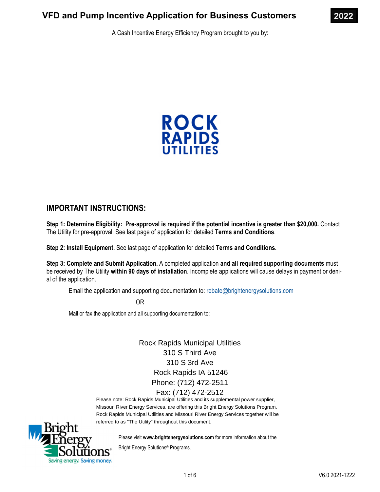A Cash Incentive Energy Efficiency Program brought to you by:



# **IMPORTANT INSTRUCTIONS:**

**Step 1: Determine Eligibility: Pre-approval is required if the potential incentive is greater than \$20,000.** Contact The Utility for pre-approval. See last page of application for detailed **Terms and Conditions**.

**Step 2: Install Equipment.** See last page of application for detailed **Terms and Conditions.** 

**Step 3: Complete and Submit Application.** A completed application **and all required supporting documents** must be received by The Utility **within 90 days of installation**. Incomplete applications will cause delays in payment or denial of the application.

Email the application and supporting documentation to: rebate@brightenergysolutions.com

OR

Mail or fax the application and all supporting documentation to:

Rock Rapids Municipal Utilities 310 S Third Ave 310 S 3rd Ave Rock Rapids IA 51246 Phone: (712) 472-2511 Fax: (712) 472-2512

Please note: Rock Rapids Municipal Utilities and its supplemental power supplier, Missouri River Energy Services, are offering this Bright Energy Solutions Program. Rock Rapids Municipal Utilities and Missouri River Energy Services together will be referred to as "The Utility" throughout this document.



Please visit **www.brightenergysolutions.com** for more information about the

Bright Energy Solutions® Programs.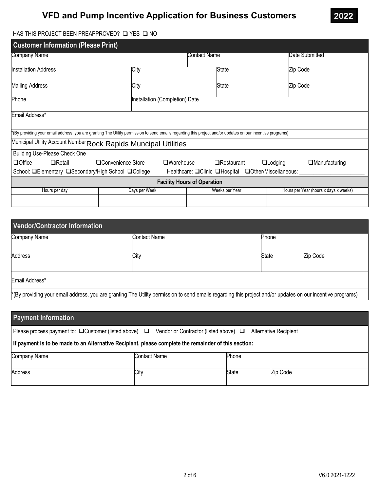

### HAS THIS PROJECT BEEN PREAPPROVED?  $\square$  YES  $\square$  NO

| <b>Customer Information (Please Print)</b>                                                                                                                |                                |                |              |       |          |                                       |  |
|-----------------------------------------------------------------------------------------------------------------------------------------------------------|--------------------------------|----------------|--------------|-------|----------|---------------------------------------|--|
| Company Name                                                                                                                                              |                                |                | Contact Name |       |          | Date Submitted                        |  |
| Installation Address                                                                                                                                      | City                           |                |              | State | Zip Code |                                       |  |
| Mailing Address                                                                                                                                           | City                           |                |              | State |          | Zip Code                              |  |
| Phone                                                                                                                                                     | Installation (Completion) Date |                |              |       |          |                                       |  |
| Email Address*                                                                                                                                            |                                |                |              |       |          |                                       |  |
| (By providing your email address, you are granting The Utility permission to send emails regarding this project and/or updates on our incentive programs) |                                |                |              |       |          |                                       |  |
| Municipal Utility Account Number Rock Rapids Muncipal Utilities                                                                                           |                                |                |              |       |          |                                       |  |
| Building Use-Please Check One                                                                                                                             |                                |                |              |       |          |                                       |  |
| $\Box$ Office<br>□ Convenience Store<br>$\Box$ Retail<br>$\square$ Warehouse<br>$\Box$ Restaurant<br>$\Box$ Lodging<br>$\Box$ Manufacturing               |                                |                |              |       |          |                                       |  |
| School: <b>□Elementary □Secondary/High School □College</b><br>Healthcare: OClinic OHospital OOther/Miscellaneous:                                         |                                |                |              |       |          |                                       |  |
| <b>Facility Hours of Operation</b>                                                                                                                        |                                |                |              |       |          |                                       |  |
| Hours per day                                                                                                                                             | Days per Week                  | Weeks per Year |              |       |          | Hours per Year (hours x days x weeks) |  |
|                                                                                                                                                           |                                |                |              |       |          |                                       |  |

| Vendor/Contractor Information                                                                                                                              |              |              |          |  |  |
|------------------------------------------------------------------------------------------------------------------------------------------------------------|--------------|--------------|----------|--|--|
| Company Name                                                                                                                                               | Contact Name | Phone        |          |  |  |
| Address                                                                                                                                                    | City         | <b>State</b> | Zip Code |  |  |
| Email Address*                                                                                                                                             |              |              |          |  |  |
| *(By providing your email address, you are granting The Utility permission to send emails regarding this project and/or updates on our incentive programs) |              |              |          |  |  |

| <b>Payment Information</b>                                                                                                                     |      |       |          |  |  |  |
|------------------------------------------------------------------------------------------------------------------------------------------------|------|-------|----------|--|--|--|
| Please process payment to: $\Box$ Customer (listed above) $\Box$<br>Vendor or Contractor (listed above) $\Box$<br><b>Alternative Recipient</b> |      |       |          |  |  |  |
| If payment is to be made to an Alternative Recipient, please complete the remainder of this section:                                           |      |       |          |  |  |  |
| Company Name<br><b>Contact Name</b><br>Phone                                                                                                   |      |       |          |  |  |  |
| Address                                                                                                                                        | City | State | Zip Code |  |  |  |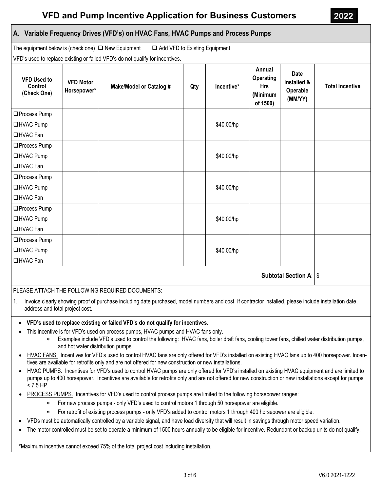## **A. Variable Frequency Drives (VFD's) on HVAC Fans, HVAC Pumps and Process Pumps**

The equipment below is (check one)  $\Box$  New Equipment  $\Box$  Add VFD to Existing Equipment

VFD's used to replace existing or failed VFD's do not qualify for incentives.

| <b>VFD Used to</b><br>Control<br>(Check One) | <b>VFD Motor</b><br>Horsepower* | <b>Make/Model or Catalog #</b> | Qty | Incentive* | Annual<br>Operating<br><b>Hrs</b><br>(Minimum<br>of 1500) | <b>Date</b><br>Installed &<br>Operable<br>(MM/YY) | <b>Total Incentive</b> |
|----------------------------------------------|---------------------------------|--------------------------------|-----|------------|-----------------------------------------------------------|---------------------------------------------------|------------------------|
| □Process Pump                                |                                 |                                |     |            |                                                           |                                                   |                        |
| <b>QHVAC Pump</b>                            |                                 |                                |     | \$40.00/hp |                                                           |                                                   |                        |
| <b>QHVAC Fan</b>                             |                                 |                                |     |            |                                                           |                                                   |                        |
| □Process Pump                                |                                 |                                |     |            |                                                           |                                                   |                        |
| <b>□HVAC Pump</b>                            |                                 |                                |     | \$40.00/hp |                                                           |                                                   |                        |
| <b>QHVAC Fan</b>                             |                                 |                                |     |            |                                                           |                                                   |                        |
| □Process Pump                                |                                 |                                |     |            |                                                           |                                                   |                        |
| <b>□HVAC Pump</b>                            |                                 |                                |     | \$40.00/hp |                                                           |                                                   |                        |
| <b>□HVAC Fan</b>                             |                                 |                                |     |            |                                                           |                                                   |                        |
| □Process Pump                                |                                 |                                |     |            |                                                           |                                                   |                        |
| <b>□HVAC Pump</b>                            |                                 |                                |     | \$40.00/hp |                                                           |                                                   |                        |
| □HVAC Fan                                    |                                 |                                |     |            |                                                           |                                                   |                        |
| □Process Pump                                |                                 |                                |     |            |                                                           |                                                   |                        |
| <b>□HVAC Pump</b>                            |                                 |                                |     | \$40.00/hp |                                                           |                                                   |                        |
| <b>□HVAC Fan</b>                             |                                 |                                |     |            |                                                           |                                                   |                        |
| <b>Subtotal Section A:   \$</b>              |                                 |                                |     |            |                                                           |                                                   |                        |

### PLEASE ATTACH THE FOLLOWING REQUIRED DOCUMENTS:

1. Invoice clearly showing proof of purchase including date purchased, model numbers and cost. If contractor installed, please include installation date, address and total project cost.

#### **VFD's used to replace existing or failed VFD's do not qualify for incentives.**

- This incentive is for VFD's used on process pumps, HVAC pumps and HVAC fans only.
	- Examples include VFD's used to control the following: HVAC fans, boiler draft fans, cooling tower fans, chilled water distribution pumps, and hot water distribution pumps.
- HVAC FANS. Incentives for VFD's used to control HVAC fans are only offered for VFD's installed on existing HVAC fans up to 400 horsepower. Incentives are available for retrofits only and are not offered for new construction or new installations.
- HVAC PUMPS. Incentives for VFD's used to control HVAC pumps are only offered for VFD's installed on existing HVAC equipment and are limited to pumps up to 400 horsepower. Incentives are available for retrofits only and are not offered for new construction or new installations except for pumps  $< 7.5$  HP.
- PROCESS PUMPS. Incentives for VFD's used to control process pumps are limited to the following horsepower ranges:
	- For new process pumps only VFD's used to control motors 1 through 50 horsepower are eligible.
	- For retrofit of existing process pumps only VFD's added to control motors 1 through 400 horsepower are eligible.
- VFDs must be automatically controlled by a variable signal, and have load diversity that will result in savings through motor speed variation.
- The motor controlled must be set to operate a minimum of 1500 hours annually to be eligible for incentive. Redundant or backup units do not qualify.

\*Maximum incentive cannot exceed 75% of the total project cost including installation.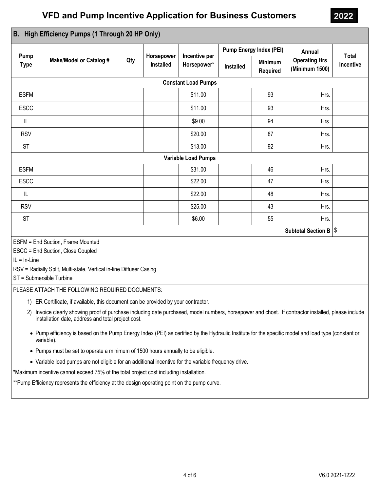| High Efficiency Pumps (1 Through 20 HP Only)<br>B.                                                                                                                                                                                                                                                                                                                                                                                                                                                                                             |                                |     |                  |                                            |                                |                                   |                                        |                    |
|------------------------------------------------------------------------------------------------------------------------------------------------------------------------------------------------------------------------------------------------------------------------------------------------------------------------------------------------------------------------------------------------------------------------------------------------------------------------------------------------------------------------------------------------|--------------------------------|-----|------------------|--------------------------------------------|--------------------------------|-----------------------------------|----------------------------------------|--------------------|
|                                                                                                                                                                                                                                                                                                                                                                                                                                                                                                                                                |                                |     |                  |                                            | <b>Pump Energy Index (PEI)</b> |                                   | Annual                                 |                    |
| Pump<br><b>Type</b>                                                                                                                                                                                                                                                                                                                                                                                                                                                                                                                            | <b>Make/Model or Catalog #</b> | Qty | <b>Installed</b> | Horsepower<br>Incentive per<br>Horsepower* |                                | <b>Minimum</b><br><b>Required</b> | <b>Operating Hrs</b><br>(Minimum 1500) | Total<br>Incentive |
|                                                                                                                                                                                                                                                                                                                                                                                                                                                                                                                                                |                                |     |                  | <b>Constant Load Pumps</b>                 |                                |                                   |                                        |                    |
| <b>ESFM</b>                                                                                                                                                                                                                                                                                                                                                                                                                                                                                                                                    |                                |     |                  | \$11.00                                    |                                | .93                               | Hrs.                                   |                    |
| <b>ESCC</b>                                                                                                                                                                                                                                                                                                                                                                                                                                                                                                                                    |                                |     |                  | \$11.00                                    |                                | .93                               | Hrs.                                   |                    |
| IL                                                                                                                                                                                                                                                                                                                                                                                                                                                                                                                                             |                                |     |                  | \$9.00                                     |                                | .94                               | Hrs.                                   |                    |
| <b>RSV</b>                                                                                                                                                                                                                                                                                                                                                                                                                                                                                                                                     |                                |     |                  | \$20.00                                    |                                | .87                               | Hrs.                                   |                    |
| <b>ST</b>                                                                                                                                                                                                                                                                                                                                                                                                                                                                                                                                      |                                |     |                  | \$13.00                                    |                                | .92                               | Hrs.                                   |                    |
|                                                                                                                                                                                                                                                                                                                                                                                                                                                                                                                                                |                                |     |                  | <b>Variable Load Pumps</b>                 |                                |                                   |                                        |                    |
| <b>ESFM</b>                                                                                                                                                                                                                                                                                                                                                                                                                                                                                                                                    |                                |     |                  | \$31.00                                    |                                | .46                               | Hrs.                                   |                    |
| <b>ESCC</b>                                                                                                                                                                                                                                                                                                                                                                                                                                                                                                                                    |                                |     |                  | \$22.00                                    |                                | .47                               | Hrs.                                   |                    |
| IL                                                                                                                                                                                                                                                                                                                                                                                                                                                                                                                                             |                                |     |                  | \$22.00                                    |                                | .48                               | Hrs.                                   |                    |
| <b>RSV</b>                                                                                                                                                                                                                                                                                                                                                                                                                                                                                                                                     |                                |     |                  | \$25.00                                    |                                | .43                               | Hrs.                                   |                    |
| <b>ST</b>                                                                                                                                                                                                                                                                                                                                                                                                                                                                                                                                      |                                |     |                  | \$6.00                                     |                                | .55                               | Hrs.                                   |                    |
| Subtotal Section B   \$                                                                                                                                                                                                                                                                                                                                                                                                                                                                                                                        |                                |     |                  |                                            |                                |                                   |                                        |                    |
| ESFM = End Suction, Frame Mounted<br>ESCC = End Suction, Close Coupled<br>$IL = In-Line$<br>RSV = Radially Split, Multi-state, Vertical in-line Diffuser Casing<br>ST = Submersible Turbine<br>PLEASE ATTACH THE FOLLOWING REQUIRED DOCUMENTS:<br>1) ER Certificate, if available, this document can be provided by your contractor.<br>Invoice clearly showing proof of purchase including date purchased, model numbers, horsepower and chost. If contractor installed, please include<br>installation date, address and total project cost. |                                |     |                  |                                            |                                |                                   |                                        |                    |
| • Pump efficiency is based on the Pump Energy Index (PEI) as certified by the Hydraulic Institute for the specific model and load type (constant or<br>variable).<br>• Pumps must be set to operate a minimum of 1500 hours annually to be eligible.                                                                                                                                                                                                                                                                                           |                                |     |                  |                                            |                                |                                   |                                        |                    |
| • Variable load pumps are not eligible for an additional incentive for the variable frequency drive.                                                                                                                                                                                                                                                                                                                                                                                                                                           |                                |     |                  |                                            |                                |                                   |                                        |                    |
| *Maximum incentive cannot exceed 75% of the total project cost including installation.                                                                                                                                                                                                                                                                                                                                                                                                                                                         |                                |     |                  |                                            |                                |                                   |                                        |                    |
| **Pump Efficiency represents the efficiency at the design operating point on the pump curve.                                                                                                                                                                                                                                                                                                                                                                                                                                                   |                                |     |                  |                                            |                                |                                   |                                        |                    |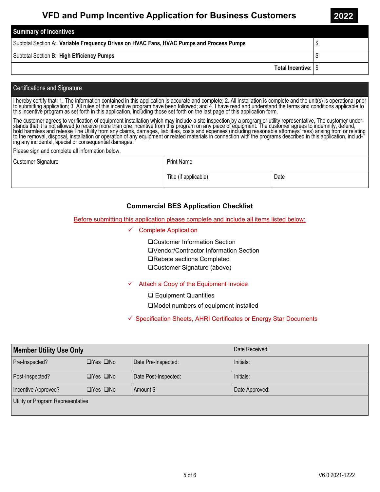| <b>Summary of Incentives</b>                                                             |  |
|------------------------------------------------------------------------------------------|--|
| Subtotal Section A: Variable Frequency Drives on HVAC Fans, HVAC Pumps and Process Pumps |  |
| Subtotal Section B: High Efficiency Pumps                                                |  |
| Total Incentive: S                                                                       |  |

#### Certifications and Signature

I hereby certify that: 1. The information contained in this application is accurate and complete; 2. All installation is complete and the unit(s) is operational prior<br>to submitting application; 3. All rules of this incenti

The customer agrees to verification of equipment installation which may include a site inspection by a program or utility representative. The customer under-Frequency of the district is not allowed to receive more than one incentive from this program on any piece of equipment. The customer agrees to indemnify, defend,<br>hold harmless and release The Utility from any claims, dama

Please sign and complete all information below.

| <b>Customer Signature</b> | <b>Print Name</b>     |      |  |  |
|---------------------------|-----------------------|------|--|--|
|                           | Title (if applicable) | Date |  |  |

### **Commercial BES Application Checklist**

Before submitting this application please complete and include all items listed below:

 $\checkmark$  Complete Application

Customer Information Section Vendor/Contractor Information Section **□Rebate sections Completed** Customer Signature (above)

### $\checkmark$  Attach a Copy of the Equipment Invoice

**□ Equipment Quantities** 

Model numbers of equipment installed

 $\checkmark$  Specification Sheets, AHRI Certificates or Energy Star Documents

| <b>Member Utility Use Only</b>    |                      |                      | Date Received: |  |
|-----------------------------------|----------------------|----------------------|----------------|--|
| Pre-Inspected?                    | $\Box$ Yes $\Box$ No | Date Pre-Inspected:  | Initials:      |  |
| Post-Inspected?                   | $\Box$ Yes $\Box$ No | Date Post-Inspected: | Initials:      |  |
| Incentive Approved?               | $\Box$ Yes $\Box$ No | Amount \$            | Date Approved: |  |
| Utility or Program Representative |                      |                      |                |  |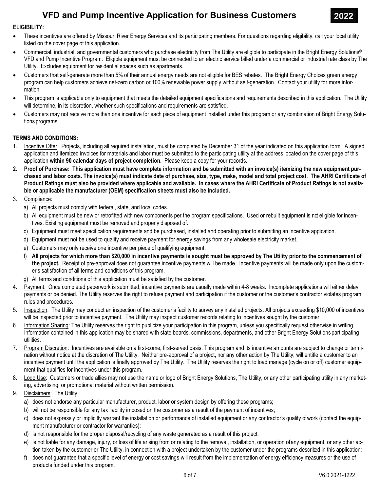

#### ELIGIBILITY:

- · These incentives are offered by Missouri River Energy Services and its participating members. For questions regarding eligibility, call your local utility listed on the cover page of this application.
- Commercial, industrial, and governmental customers who purchase electricity from The Utility are eligible to participate in the Bright Energy Solutions® VFD and Pump Incentive Program. Eligible equipment must be connected to an electric service billed under a commercial or industrial rate class by The Utility. Excludes equipment for residential spaces such as apartments.
- · Customers that self-generate more than 5% of their annual energy needs are not eligible for BES rebates. The Bright Energy Choices green energy program can help customers achieve net-zero carbon or 100% renewable power supply without self-generation. Contact your utility for more information.
- · This program is applicable only to equipment that meets the detailed equipment specifications and requirements described in this application. The Utility will determine, in its discretion, whether such specifications and requirements are satisfied.
- · Customers may not receive more than one incentive for each piece of equipment installed under this program or any combination of Bright Energy Solutions programs.

### TERMS AND CONDITIONS:

- 1. Incentive Offer: Projects, including all required installation, must be completed by December 31 of the year indicated on this application form. A signed application and itemized invoices for materials and labor must be submitted to the participating utility at the address located on the cover page of this application within 90 calendar days of project completion. Please keep a copy for your records.
- 2. Proof of Purchase: This application must have complete information and be submitted with an invoice(s) itemizing the new equipment purchased and labor costs. The invoice(s) must indicate date of purchase, size, type, make, model and total project cost. The AHRI Certificate of Product Ratings must also be provided where applicable and available. In cases where the AHRI Certificate of Product Ratings is not available or applicable the manufacturer (OEM) specification sheets must also be included.
- 3. Compliance:
	- a) All projects must comply with federal, state, and local codes.
	- b) All equipment must be new or retrofitted with new components per the program specifications. Used or rebuilt equipment is nd eligible for incentives. Existing equipment must be removed and properly disposed of.
	- c) Equipment must meet specification requirements and be purchased, installed and operating prior to submitting an incentive application.
	- d) Equipment must not be used to qualify and receive payment for energy savings from any wholesale electricity market.
	- e) Customers may only receive one incentive per piece of qualifying equipment.
	- f) All projects for which more than \$20,000 in incentive payments is sought must be approved by The Utility prior to the commencement of the project. Receipt of pre-approval does not guarantee incentive payments will be made. Incentive payments will be made only upon the customer's satisfaction of all terms and conditions of this program.
	- g) All terms and conditions of this application must be satisfied by the customer.
- 4. Payment: Once completed paperwork is submitted, incentive payments are usually made within 4-8 weeks. Incomplete applications will either delay payments or be denied. The Utility reserves the right to refuse payment and participation if the customer or the customer's contractor violates program rules and procedures.
- 5. Inspection: The Utility may conduct an inspection of the customer's facility to survey any installed projects. All projects exceeding \$10,000 of incentives will be inspected prior to incentive payment. The Utility may inspect customer records relating to incentives sought by the customer.
- 6. Information Sharing: The Utility reserves the right to publicize your participation in this program, unless you specifically request otherwise in writing. Information contained in this application may be shared with state boards, commissions, departments, and other Bright Energy Solutions participating utilities.
- 7. Program Discretion: Incentives are available on a first-come, first-served basis. This program and its incentive amounts are subject to change or termination without notice at the discretion of The Utility. Neither pre-approval of a project, nor any other action by The Utility, will entitle a customer to an incentive payment until the application is finally approved by The Utility. The Utility reserves the right to load manage (cycle on or off) customer equipment that qualifies for incentives under this program.
- 8. Logo Use: Customers or trade allies may not use the name or logo of Bright Energy Solutions, The Utility, or any other participating utility in any marketing, advertising, or promotional material without written permission.
- 9. Disclaimers: The Utility
	- a) does not endorse any particular manufacturer, product, labor or system design by offering these programs;
	- b) will not be responsible for any tax liability imposed on the customer as a result of the payment of incentives;
	- c) does not expressly or implicitly warrant the installation or performance of installed equipment or any contractor's quality of work (contact the equipment manufacturer or contractor for warranties);
	- d) is not responsible for the proper disposal/recycling of any waste generated as a result of this project;
	- e) is not liable for any damage, injury, or loss of life arising from or relating to the removal, installation, or operation of any equipment, or any other action taken by the customer or The Utility, in connection with a project undertaken by the customer under the programs described in this application;
	- f) does not guarantee that a specific level of energy or cost savings will result from the implementation of energy efficiency measures or the use of products funded under this program.